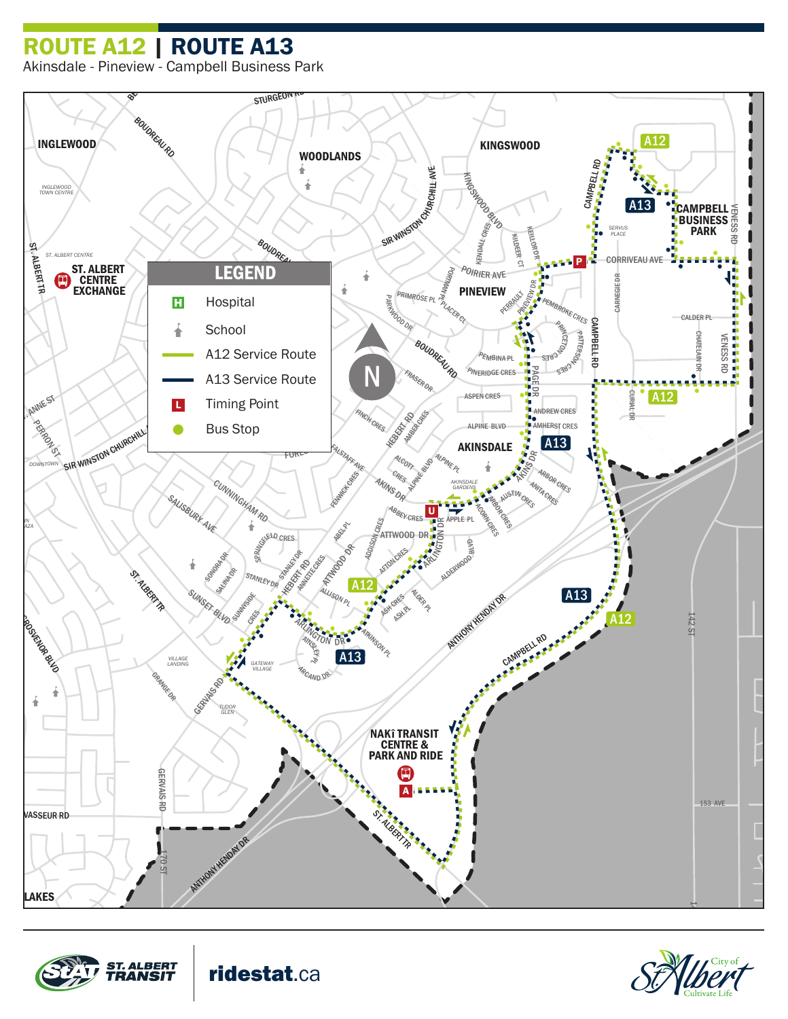## ROUTE A12 | ROUTE A13

Akinsdale - Pineview - Campbell Business Park